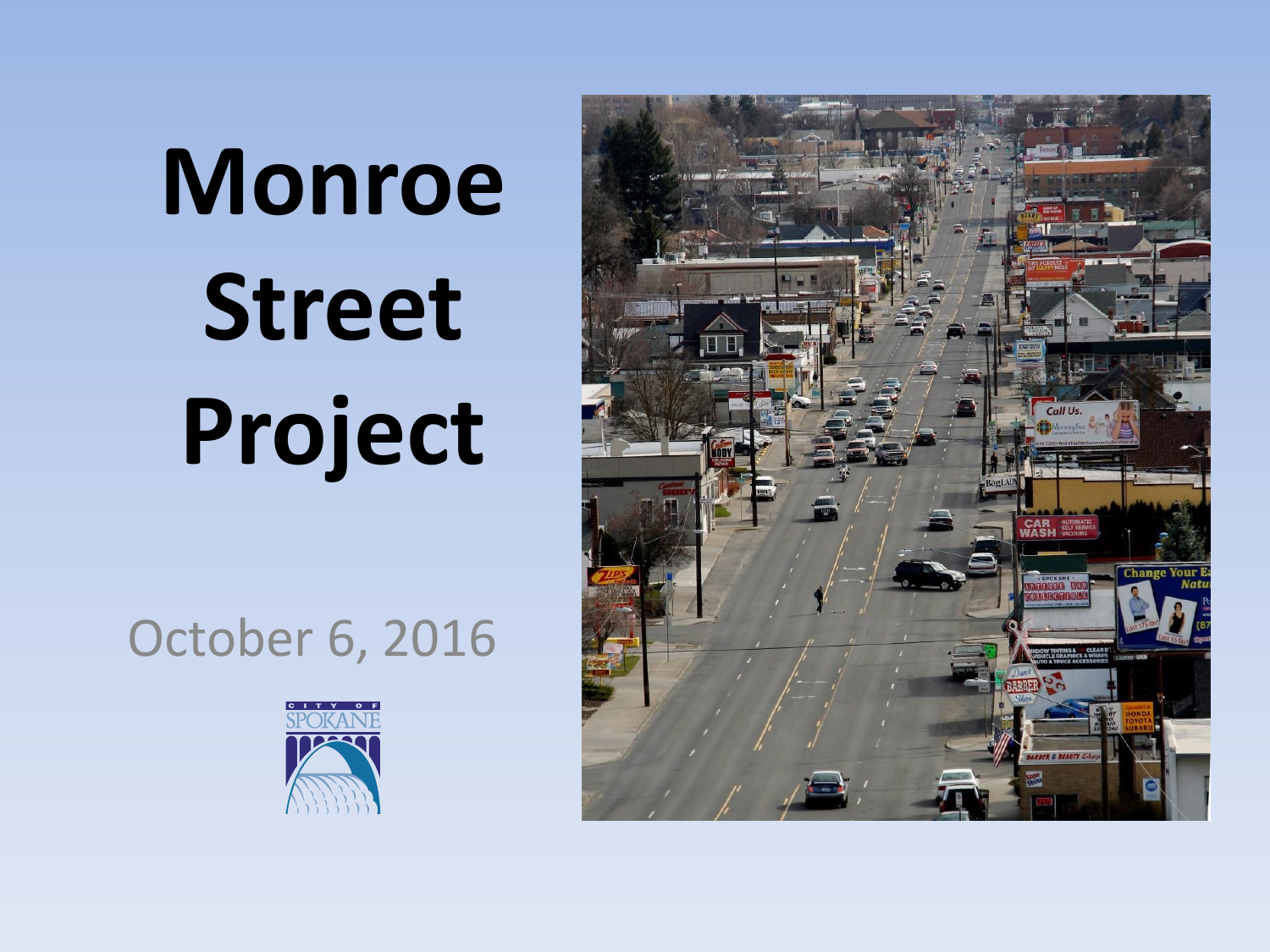# **Monroe Street Project**

# October 6, 2016



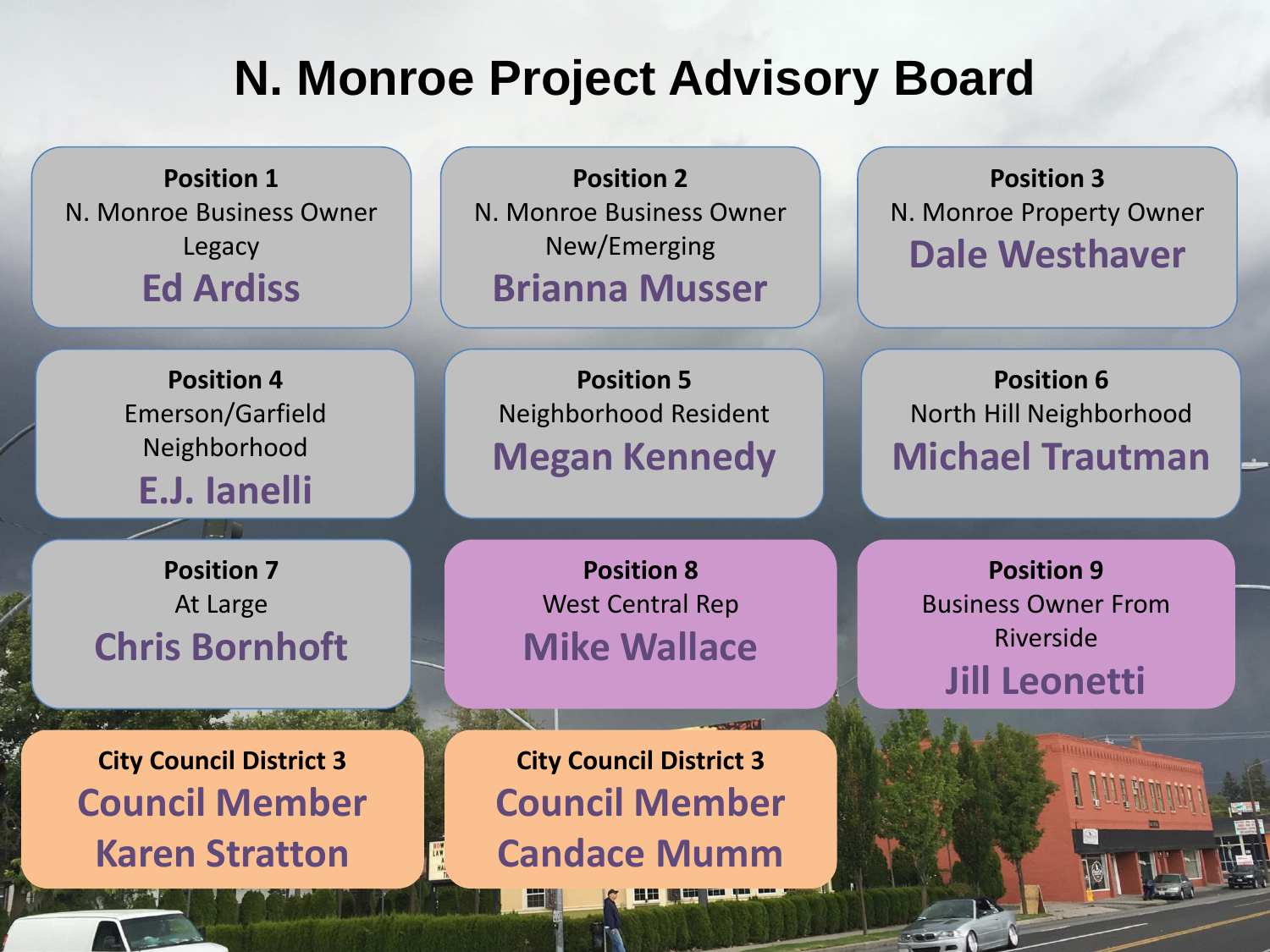### **N. Monroe Project Advisory Board**

**Position 1** N. Monroe Business Owner Legacy **Ed Ardiss**

**Position 2** N. Monroe Business Owner New/Emerging **Brianna Musser**

**Position 4** Emerson/Garfield Neighborhood **E.J. Ianelli**

**Position 7** At Large **Chris Bornhoft**

**City Council District 3 Council Member Karen Stratton**

**Position 5** Neighborhood Resident **Megan Kennedy**

> **Position 8** West Central Rep **Mike Wallace**

**City Council District 3 Council Member Candace Mumm**

**Position 3** N. Monroe Property Owner **Dale Westhaver**

**Position 6** North Hill Neighborhood **Michael Trautman**

> **Position 9** Business Owner From Riverside **Jill Leonetti**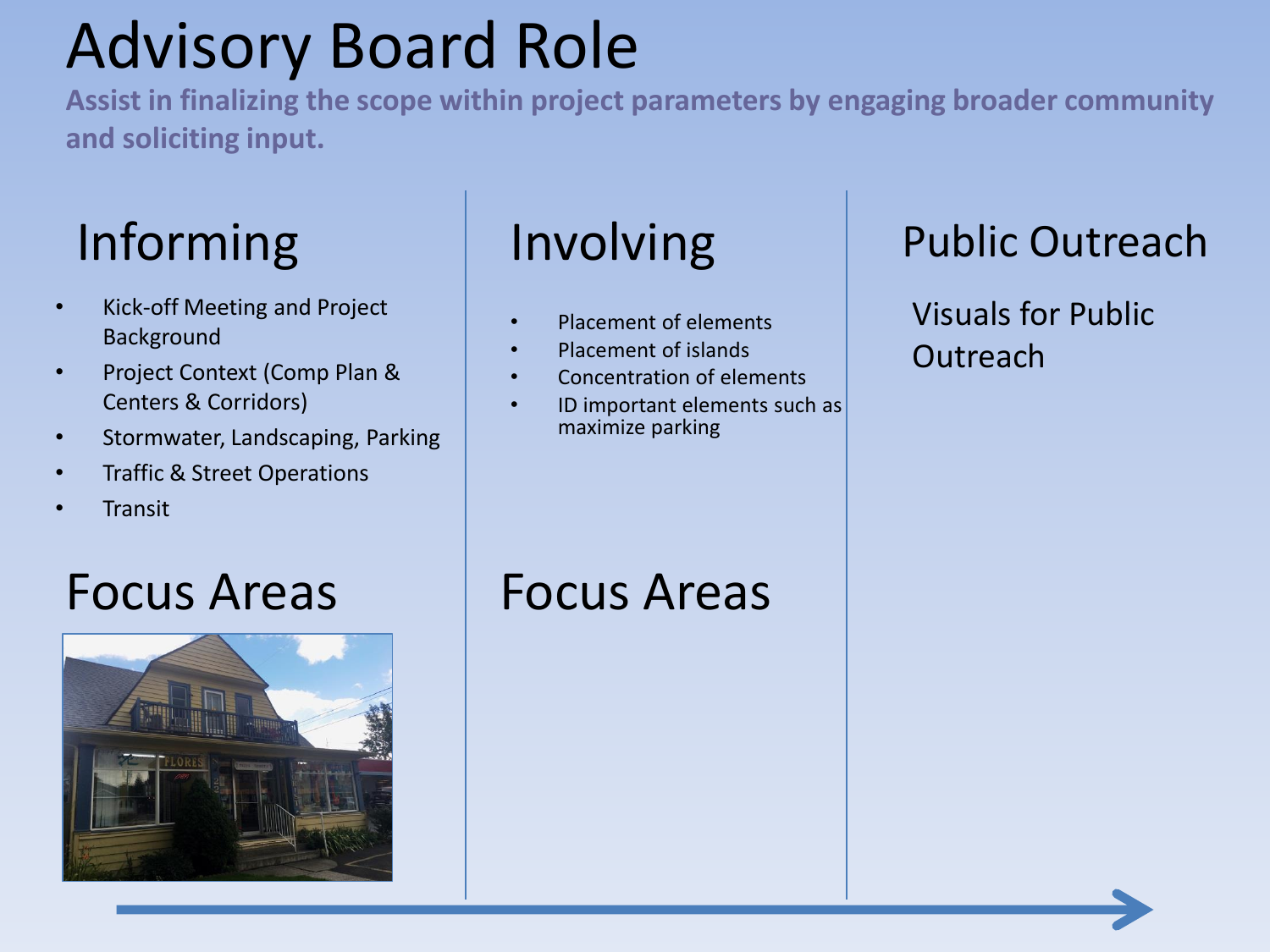# Advisory Board Role

**Assist in finalizing the scope within project parameters by engaging broader community and soliciting input.** 

- Kick-off Meeting and Project Background
- Project Context (Comp Plan & Centers & Corridors)
- Stormwater, Landscaping, Parking
- Traffic & Street Operations
- Transit

- Placement of elements
- Placement of islands
- Concentration of elements
- ID important elements such as maximize parking

#### Informing | Involving | Public Outreach

Visuals for Public Outreach



### Focus Areas Focus Areas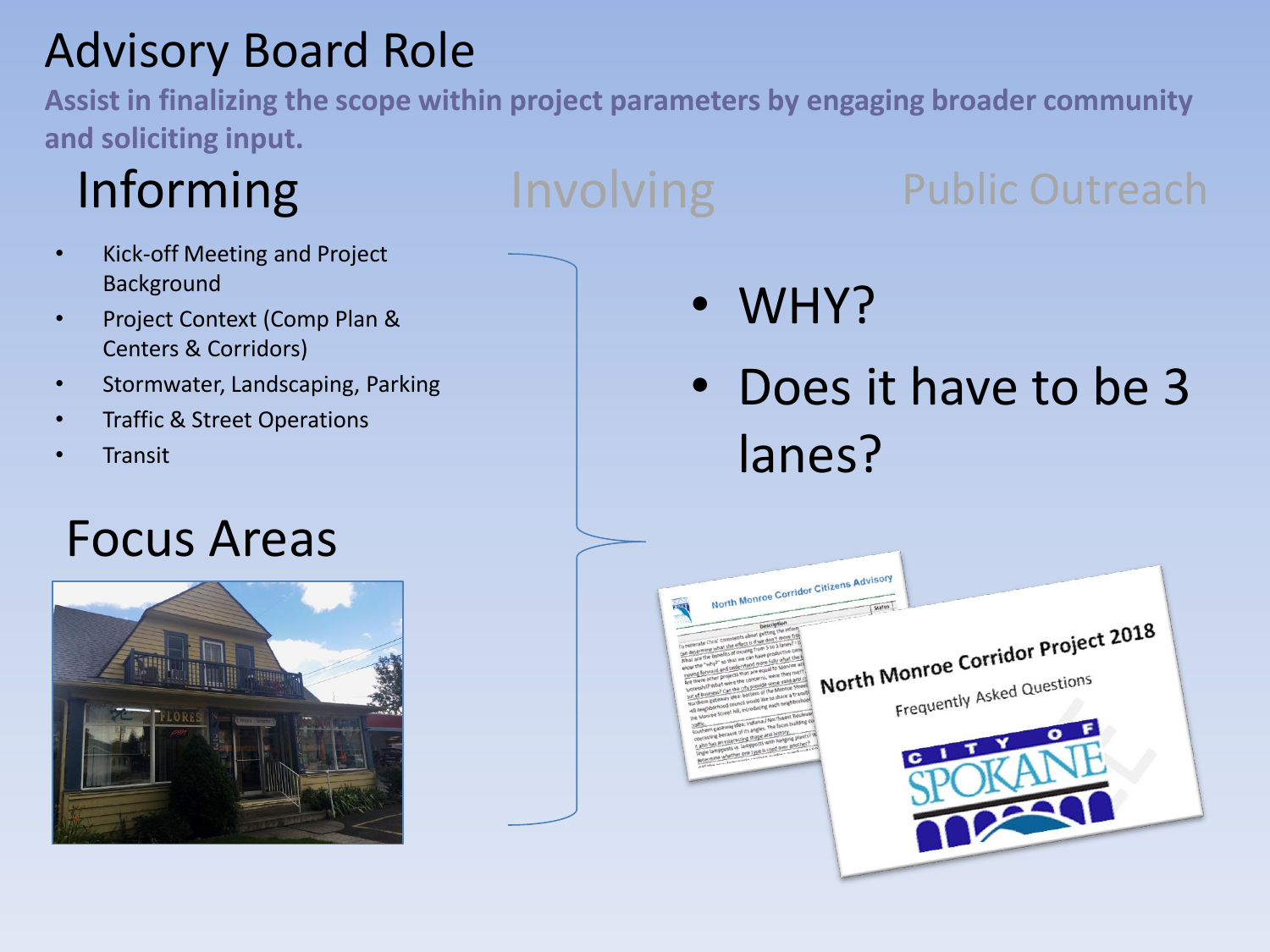## Advisory Board Role

**Assist in finalizing the scope within project parameters by engaging broader community and soliciting input.** 

- Kick-off Meeting and Project Background
- Project Context (Comp Plan & Centers & Corridors)
- Stormwater, Landscaping, Parking
- Traffic & Street Operations
- Transit

## Focus Areas



# Informing Involving Public Outreach

• WHY?

• Does it have to be 3 lanes?

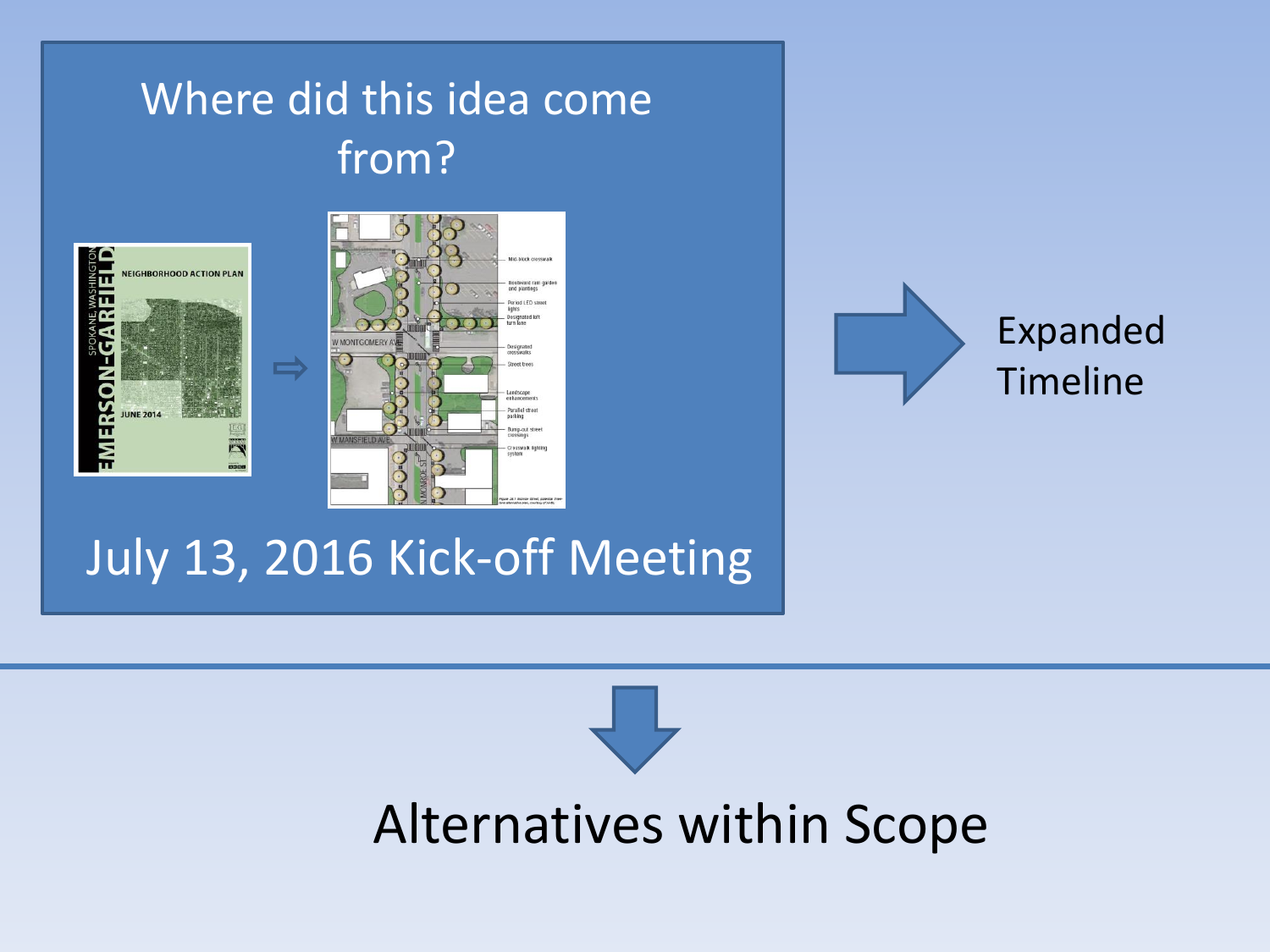### Where did this idea come from?







## July 13, 2016 Kick-off Meeting

# Alternatives within Scope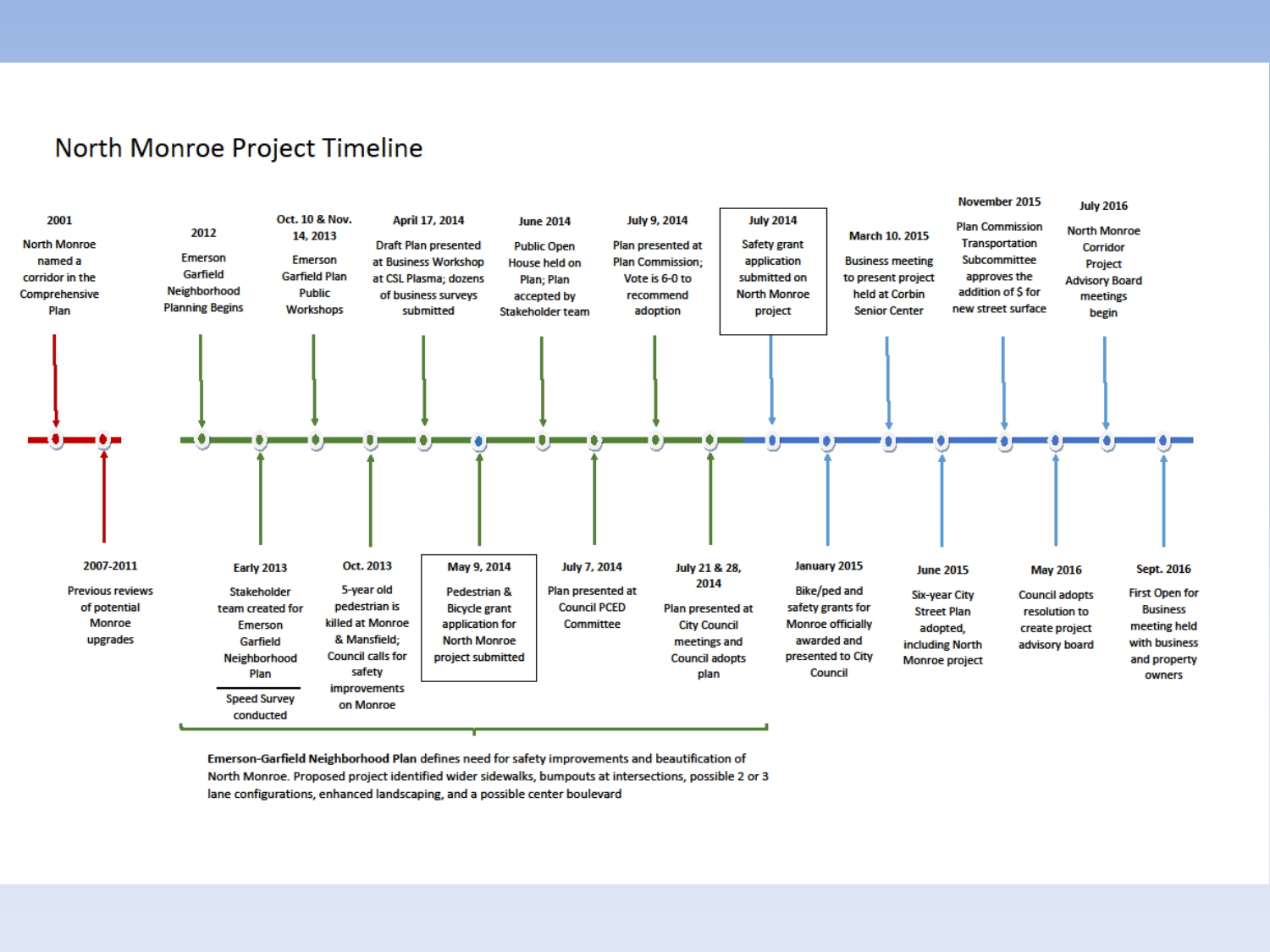#### North Monroe Project Timeline



Emerson-Garfield Neighborhood Plan defines need for safety improvements and beautification of North Monroe. Proposed project identified wider sidewalks, bumpouts at intersections, possible 2 or 3 lane configurations, enhanced landscaping, and a possible center boulevard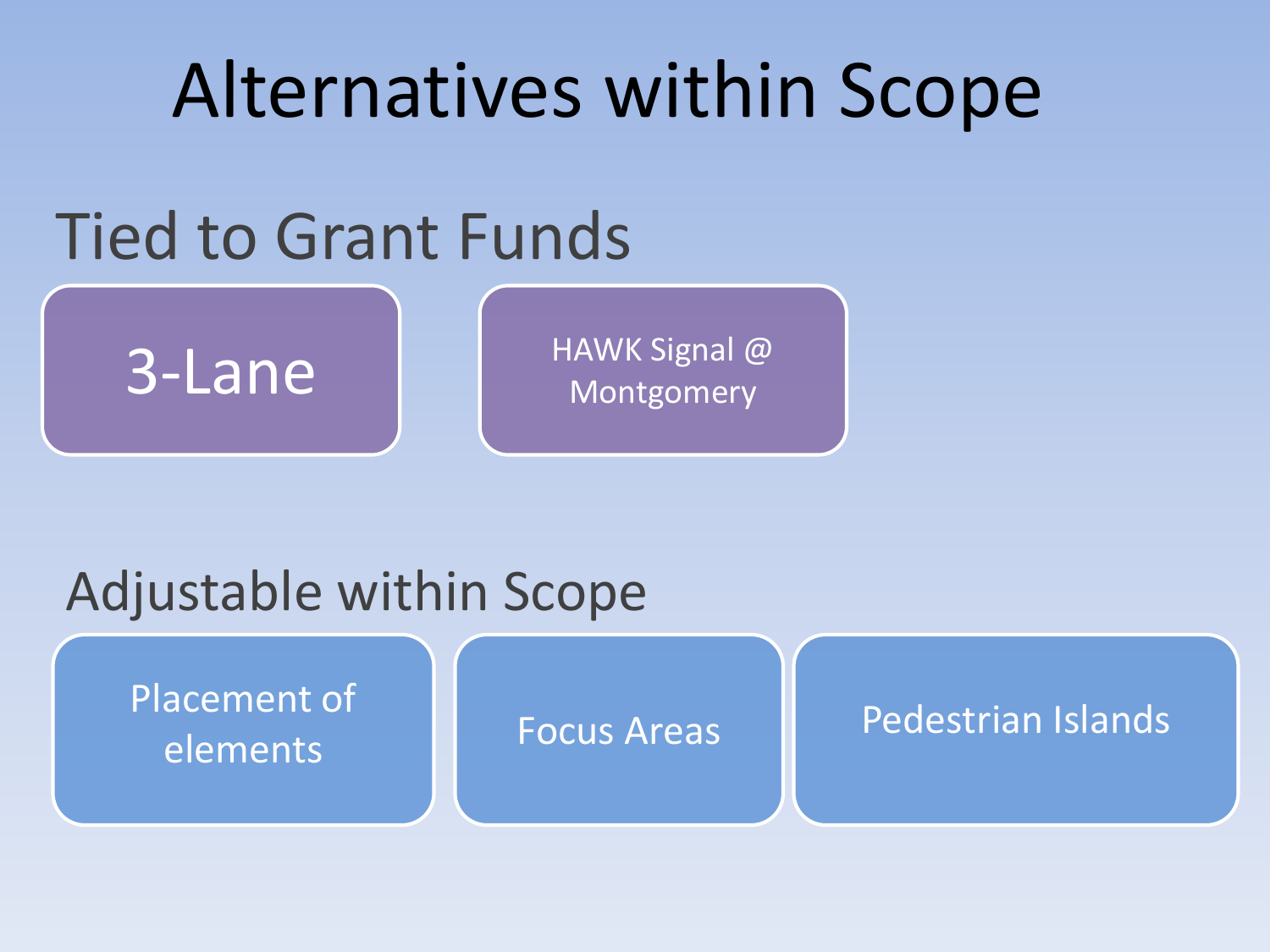# Alternatives within Scope

# Tied to Grant Funds



# Adjustable within Scope

Placement of elements

#### Focus Areas | Pedestrian Islands